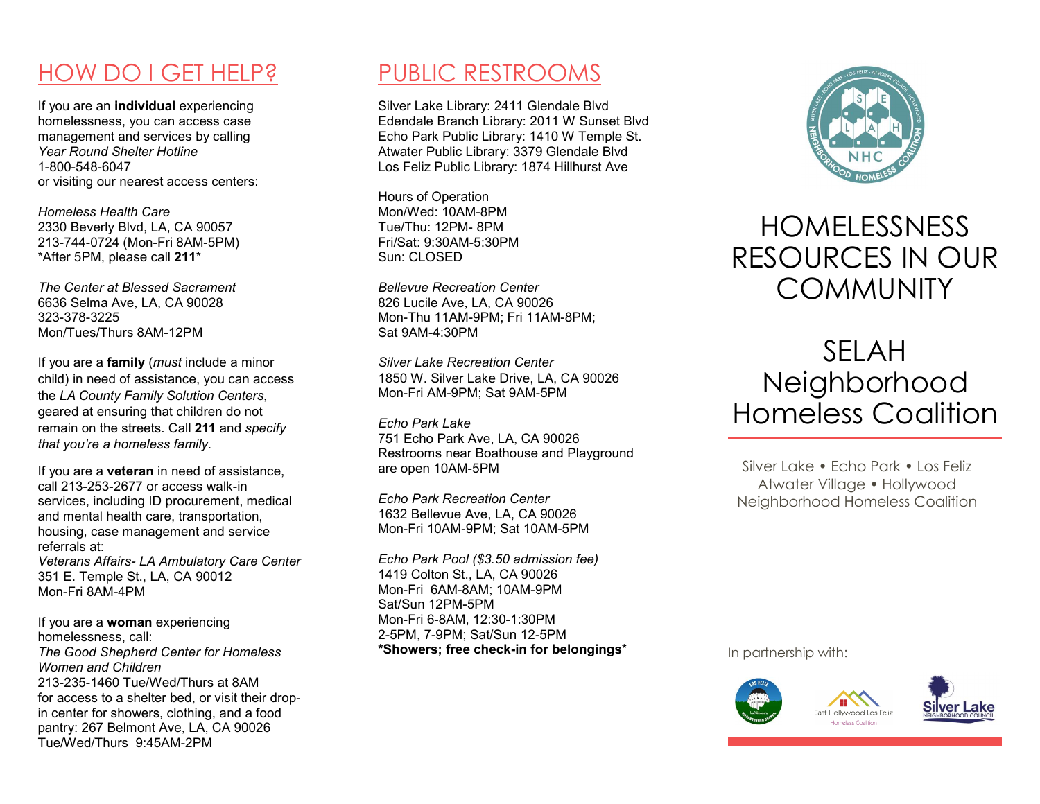### HOW DO I GET HELP?

If you are an individual experiencing homelessness, you can access case management and services by calling Year Round Shelter Hotline 1-800-548-6047 or visiting our nearest access centers:

Homeless Health Care 2330 Beverly Blvd, LA, CA 90057 213-744-0724 (Mon-Fri 8AM-5PM) \*After 5PM, please call 211\*

The Center at Blessed Sacrament 6636 Selma Ave, LA, CA 90028 323-378-3225 Mon/Tues/Thurs 8AM-12PM

If you are a **family** (*must* include a minor child) in need of assistance, you can access the LA County Family Solution Centers, geared at ensuring that children do not remain on the streets. Call 211 and specify that you're a homeless family.

If you are a veteran in need of assistance, call 213-253-2677 or access walk-in services, including ID procurement, medical and mental health care, transportation, housing, case management and service referrals at: Veterans Affairs- LA Ambulatory Care Center 351 E. Temple St., LA, CA 90012 Mon-Fri 8AM-4PM

If you are a woman experiencing homelessness, call: The Good Shepherd Center for Homeless Women and Children 213-235-1460 Tue/Wed/Thurs at 8AM for access to a shelter bed, or visit their dropin center for showers, clothing, and a food pantry: 267 Belmont Ave, LA, CA 90026 Tue/Wed/Thurs 9:45AM-2PM

#### PUBLIC RESTROOMS

Silver Lake Library: 2411 Glendale Blvd Edendale Branch Library: 2011 W Sunset Blvd Echo Park Public Library: 1410 W Temple St. Atwater Public Library: 3379 Glendale Blvd Los Feliz Public Library: 1874 Hillhurst Ave

Hours of Operation Mon/Wed: 10AM-8PM Tue/Thu: 12PM- 8PM Fri/Sat: 9:30AM-5:30PM Sun: CLOSED

Bellevue Recreation Center 826 Lucile Ave, LA, CA 90026 Mon-Thu 11AM-9PM; Fri 11AM-8PM; Sat 9AM-4:30PM

Silver Lake Recreation Center 1850 W. Silver Lake Drive, LA, CA 90026 Mon-Fri AM-9PM; Sat 9AM-5PM

Echo Park Lake 751 Echo Park Ave, LA, CA 90026 Restrooms near Boathouse and Playground are open 10AM-5PM

Echo Park Recreation Center 1632 Bellevue Ave, LA, CA 90026 Mon-Fri 10AM-9PM; Sat 10AM-5PM

Echo Park Pool (\$3.50 admission fee) 1419 Colton St., LA, CA 90026 Mon-Fri 6AM-8AM; 10AM-9PM Sat/Sun 12PM-5PM Mon-Fri 6-8AM, 12:30-1:30PM 2-5PM, 7-9PM; Sat/Sun 12-5PM \*Showers; free check-in for belongings\*



## HOMELESSNESS RESOURCES IN OUR **COMMUNITY**

# SELAH Neighborhood Homeless Coalition

Silver Lake • Fcho Park • Los Feliz Atwater Village • Hollywood Neighborhood Homeless Coalition

In partnership with: